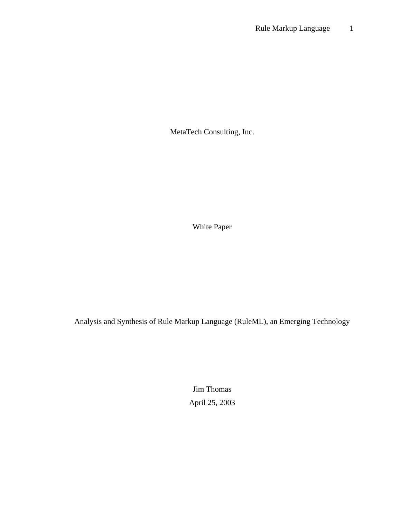MetaTech Consulting, Inc.

White Paper

Analysis and Synthesis of Rule Markup Language (RuleML), an Emerging Technology

Jim Thomas April 25, 2003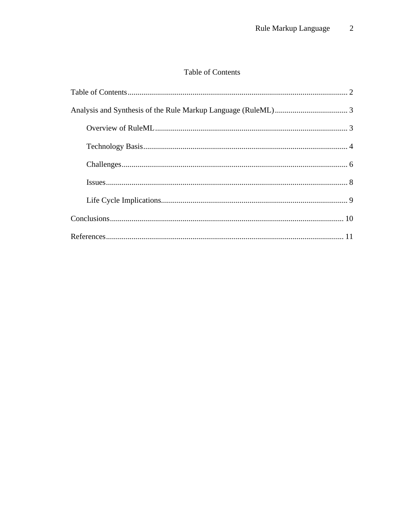# Table of Contents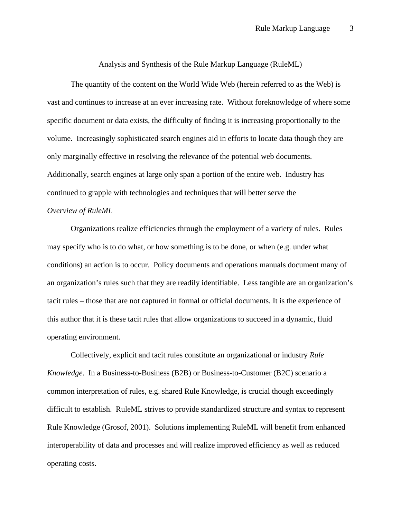Analysis and Synthesis of the Rule Markup Language (RuleML)

The quantity of the content on the World Wide Web (herein referred to as the Web) is vast and continues to increase at an ever increasing rate. Without foreknowledge of where some specific document or data exists, the difficulty of finding it is increasing proportionally to the volume. Increasingly sophisticated search engines aid in efforts to locate data though they are only marginally effective in resolving the relevance of the potential web documents. Additionally, search engines at large only span a portion of the entire web. Industry has continued to grapple with technologies and techniques that will better serve the *Overview of RuleML* 

Organizations realize efficiencies through the employment of a variety of rules. Rules may specify who is to do what, or how something is to be done, or when (e.g. under what conditions) an action is to occur. Policy documents and operations manuals document many of an organization's rules such that they are readily identifiable. Less tangible are an organization's tacit rules – those that are not captured in formal or official documents. It is the experience of this author that it is these tacit rules that allow organizations to succeed in a dynamic, fluid operating environment.

Collectively, explicit and tacit rules constitute an organizational or industry *Rule Knowledge*. In a Business-to-Business (B2B) or Business-to-Customer (B2C) scenario a common interpretation of rules, e.g. shared Rule Knowledge, is crucial though exceedingly difficult to establish. RuleML strives to provide standardized structure and syntax to represent Rule Knowledge (Grosof, 2001). Solutions implementing RuleML will benefit from enhanced interoperability of data and processes and will realize improved efficiency as well as reduced operating costs.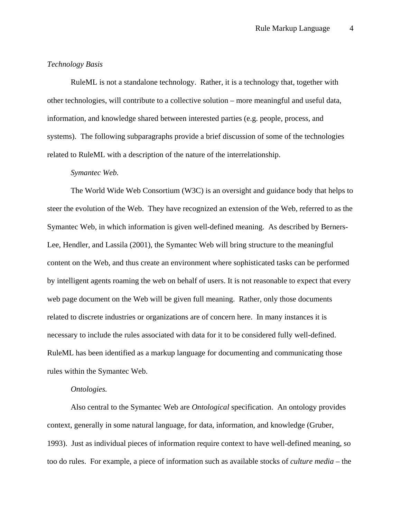### *Technology Basis*

RuleML is not a standalone technology. Rather, it is a technology that, together with other technologies, will contribute to a collective solution – more meaningful and useful data, information, and knowledge shared between interested parties (e.g. people, process, and systems). The following subparagraphs provide a brief discussion of some of the technologies related to RuleML with a description of the nature of the interrelationship.

#### *Symantec Web.*

The World Wide Web Consortium (W3C) is an oversight and guidance body that helps to steer the evolution of the Web. They have recognized an extension of the Web, referred to as the Symantec Web, in which information is given well-defined meaning. As described by Berners-Lee, Hendler, and Lassila (2001), the Symantec Web will bring structure to the meaningful content on the Web, and thus create an environment where sophisticated tasks can be performed by intelligent agents roaming the web on behalf of users. It is not reasonable to expect that every web page document on the Web will be given full meaning. Rather, only those documents related to discrete industries or organizations are of concern here. In many instances it is necessary to include the rules associated with data for it to be considered fully well-defined. RuleML has been identified as a markup language for documenting and communicating those rules within the Symantec Web.

# *Ontologies.*

Also central to the Symantec Web are *Ontological* specification. An ontology provides context, generally in some natural language, for data, information, and knowledge (Gruber, 1993). Just as individual pieces of information require context to have well-defined meaning, so too do rules. For example, a piece of information such as available stocks of *culture media* – the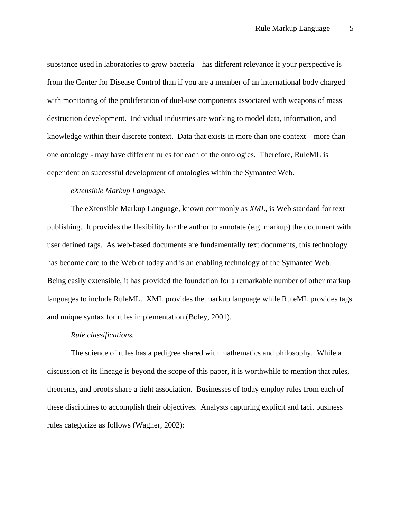substance used in laboratories to grow bacteria – has different relevance if your perspective is from the Center for Disease Control than if you are a member of an international body charged with monitoring of the proliferation of duel-use components associated with weapons of mass destruction development. Individual industries are working to model data, information, and knowledge within their discrete context. Data that exists in more than one context – more than one ontology - may have different rules for each of the ontologies. Therefore, RuleML is dependent on successful development of ontologies within the Symantec Web.

# *eXtensible Markup Language.*

The eXtensible Markup Language, known commonly as *XML*, is Web standard for text publishing. It provides the flexibility for the author to annotate (e.g. markup) the document with user defined tags. As web-based documents are fundamentally text documents, this technology has become core to the Web of today and is an enabling technology of the Symantec Web. Being easily extensible, it has provided the foundation for a remarkable number of other markup languages to include RuleML. XML provides the markup language while RuleML provides tags and unique syntax for rules implementation (Boley, 2001).

#### *Rule classifications.*

The science of rules has a pedigree shared with mathematics and philosophy. While a discussion of its lineage is beyond the scope of this paper, it is worthwhile to mention that rules, theorems, and proofs share a tight association. Businesses of today employ rules from each of these disciplines to accomplish their objectives. Analysts capturing explicit and tacit business rules categorize as follows (Wagner, 2002):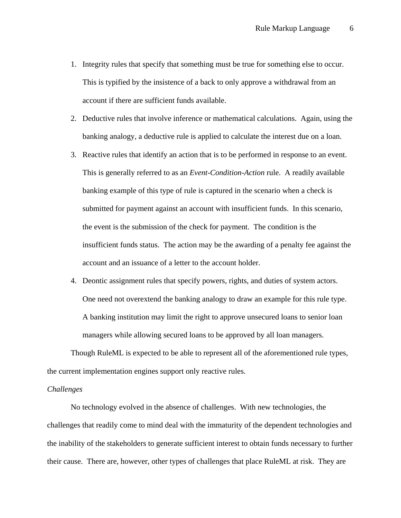- 1. Integrity rules that specify that something must be true for something else to occur. This is typified by the insistence of a back to only approve a withdrawal from an account if there are sufficient funds available.
- 2. Deductive rules that involve inference or mathematical calculations. Again, using the banking analogy, a deductive rule is applied to calculate the interest due on a loan.
- 3. Reactive rules that identify an action that is to be performed in response to an event. This is generally referred to as an *Event-Condition-Action* rule. A readily available banking example of this type of rule is captured in the scenario when a check is submitted for payment against an account with insufficient funds. In this scenario, the event is the submission of the check for payment. The condition is the insufficient funds status. The action may be the awarding of a penalty fee against the account and an issuance of a letter to the account holder.
- 4. Deontic assignment rules that specify powers, rights, and duties of system actors. One need not overextend the banking analogy to draw an example for this rule type. A banking institution may limit the right to approve unsecured loans to senior loan managers while allowing secured loans to be approved by all loan managers.

Though RuleML is expected to be able to represent all of the aforementioned rule types, the current implementation engines support only reactive rules.

### *Challenges*

No technology evolved in the absence of challenges. With new technologies, the challenges that readily come to mind deal with the immaturity of the dependent technologies and the inability of the stakeholders to generate sufficient interest to obtain funds necessary to further their cause. There are, however, other types of challenges that place RuleML at risk. They are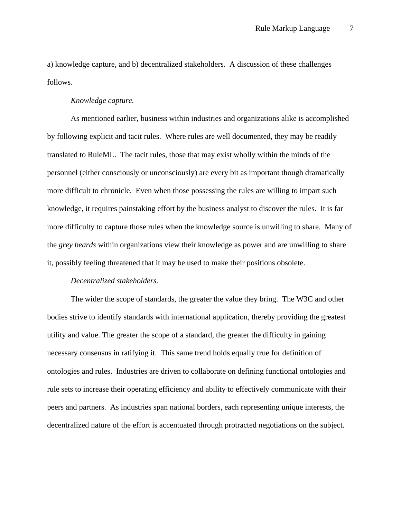a) knowledge capture, and b) decentralized stakeholders. A discussion of these challenges follows.

### *Knowledge capture.*

As mentioned earlier, business within industries and organizations alike is accomplished by following explicit and tacit rules. Where rules are well documented, they may be readily translated to RuleML. The tacit rules, those that may exist wholly within the minds of the personnel (either consciously or unconsciously) are every bit as important though dramatically more difficult to chronicle. Even when those possessing the rules are willing to impart such knowledge, it requires painstaking effort by the business analyst to discover the rules. It is far more difficulty to capture those rules when the knowledge source is unwilling to share. Many of the *grey beards* within organizations view their knowledge as power and are unwilling to share it, possibly feeling threatened that it may be used to make their positions obsolete.

# *Decentralized stakeholders.*

The wider the scope of standards, the greater the value they bring. The W3C and other bodies strive to identify standards with international application, thereby providing the greatest utility and value. The greater the scope of a standard, the greater the difficulty in gaining necessary consensus in ratifying it. This same trend holds equally true for definition of ontologies and rules. Industries are driven to collaborate on defining functional ontologies and rule sets to increase their operating efficiency and ability to effectively communicate with their peers and partners. As industries span national borders, each representing unique interests, the decentralized nature of the effort is accentuated through protracted negotiations on the subject.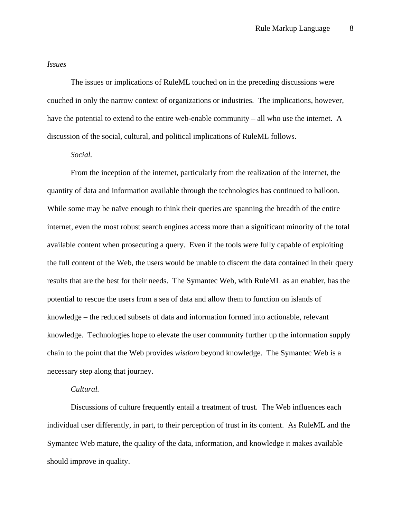#### *Issues*

The issues or implications of RuleML touched on in the preceding discussions were couched in only the narrow context of organizations or industries. The implications, however, have the potential to extend to the entire web-enable community – all who use the internet. A discussion of the social, cultural, and political implications of RuleML follows.

### *Social.*

From the inception of the internet, particularly from the realization of the internet, the quantity of data and information available through the technologies has continued to balloon. While some may be naïve enough to think their queries are spanning the breadth of the entire internet, even the most robust search engines access more than a significant minority of the total available content when prosecuting a query. Even if the tools were fully capable of exploiting the full content of the Web, the users would be unable to discern the data contained in their query results that are the best for their needs. The Symantec Web, with RuleML as an enabler, has the potential to rescue the users from a sea of data and allow them to function on islands of knowledge – the reduced subsets of data and information formed into actionable, relevant knowledge. Technologies hope to elevate the user community further up the information supply chain to the point that the Web provides *wisdom* beyond knowledge. The Symantec Web is a necessary step along that journey.

# *Cultural.*

Discussions of culture frequently entail a treatment of trust. The Web influences each individual user differently, in part, to their perception of trust in its content. As RuleML and the Symantec Web mature, the quality of the data, information, and knowledge it makes available should improve in quality.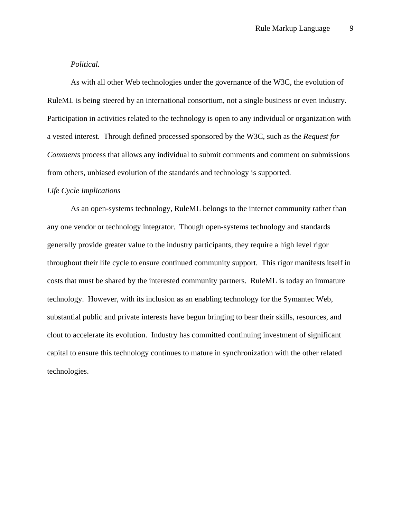# *Political.*

As with all other Web technologies under the governance of the W3C, the evolution of RuleML is being steered by an international consortium, not a single business or even industry. Participation in activities related to the technology is open to any individual or organization with a vested interest. Through defined processed sponsored by the W3C, such as the *Request for Comments* process that allows any individual to submit comments and comment on submissions from others, unbiased evolution of the standards and technology is supported.

# *Life Cycle Implications*

As an open-systems technology, RuleML belongs to the internet community rather than any one vendor or technology integrator. Though open-systems technology and standards generally provide greater value to the industry participants, they require a high level rigor throughout their life cycle to ensure continued community support. This rigor manifests itself in costs that must be shared by the interested community partners. RuleML is today an immature technology. However, with its inclusion as an enabling technology for the Symantec Web, substantial public and private interests have begun bringing to bear their skills, resources, and clout to accelerate its evolution. Industry has committed continuing investment of significant capital to ensure this technology continues to mature in synchronization with the other related technologies.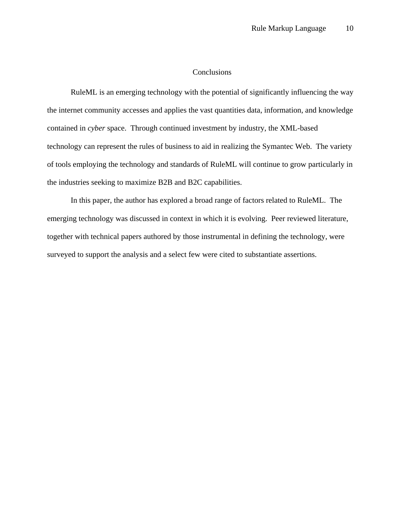# **Conclusions**

RuleML is an emerging technology with the potential of significantly influencing the way the internet community accesses and applies the vast quantities data, information, and knowledge contained in *cyber* space. Through continued investment by industry, the XML-based technology can represent the rules of business to aid in realizing the Symantec Web. The variety of tools employing the technology and standards of RuleML will continue to grow particularly in the industries seeking to maximize B2B and B2C capabilities.

In this paper, the author has explored a broad range of factors related to RuleML. The emerging technology was discussed in context in which it is evolving. Peer reviewed literature, together with technical papers authored by those instrumental in defining the technology, were surveyed to support the analysis and a select few were cited to substantiate assertions.